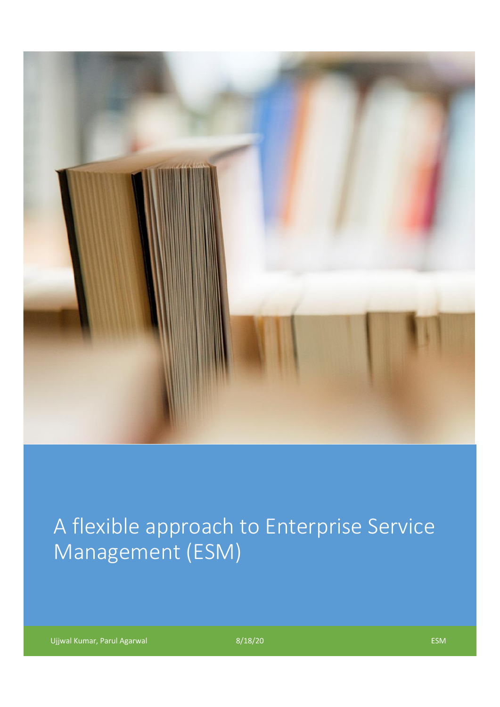

# A flexible approach to Enterprise Service Management (ESM)

Ujjwal Kumar, Parul Agarwal **ESM** extendition of the SM extendition of the SM extendition of the ESM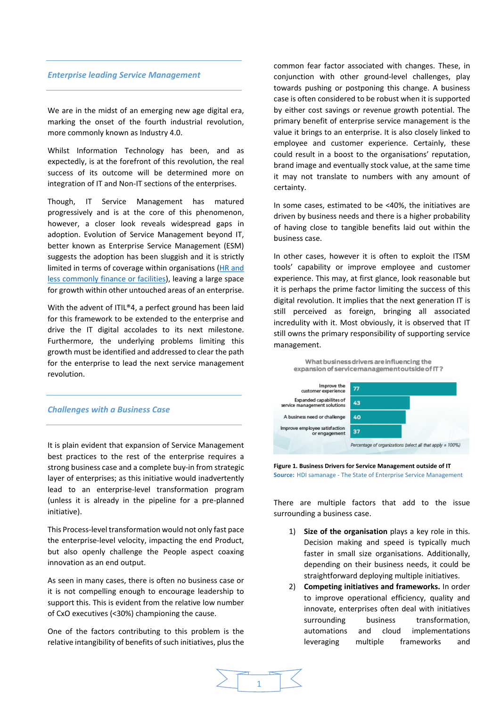## *Enterprise leading Service Management*

We are in the midst of an emerging new age digital era, marking the onset of the fourth industrial revolution, more commonly known as Industry 4.0.

Whilst Information Technology has been, and as expectedly, is at the forefront of this revolution, the real success of its outcome will be determined more on integration of IT and Non-IT sections of the enterprises.

Though, IT Service Management has matured progressively and is at the core of this phenomenon, however, a closer look reveals widespread gaps in adoption. Evolution of Service Management beyond IT, better known as Enterprise Service Management (ESM) suggests the adoption has been sluggish and it is strictly limited in terms of coverage within organisations [\(HR and](https://www.samanage.com/wp-content/uploads/2018/09/Samanage-Executive-Summary-HDI-2018.pdf)  [less commonly finance or facilities\)](https://www.samanage.com/wp-content/uploads/2018/09/Samanage-Executive-Summary-HDI-2018.pdf), leaving a large space for growth within other untouched areas of an enterprise.

With the advent of ITIL®4, a perfect ground has been laid for this framework to be extended to the enterprise and drive the IT digital accolades to its next milestone. Furthermore, the underlying problems limiting this growth must be identified and addressed to clear the path for the enterprise to lead the next service management revolution.

## *Challenges with a Business Case*

It is plain evident that expansion of Service Management best practices to the rest of the enterprise requires a strong business case and a complete buy-in from strategic layer of enterprises; as this initiative would inadvertently lead to an enterprise-level transformation program (unless it is already in the pipeline for a pre-planned initiative).

This Process-level transformation would not only fast pace the enterprise-level velocity, impacting the end Product, but also openly challenge the People aspect coaxing innovation as an end output.

As seen in many cases, there is often no business case or it is not compelling enough to encourage leadership to support this. This is evident from the relative low number of CxO executives (<30%) championing the cause.

One of the factors contributing to this problem is the relative intangibility of benefits of such initiatives, plus the common fear factor associated with changes. These, in conjunction with other ground-level challenges, play towards pushing or postponing this change. A business case is often considered to be robust when it is supported by either cost savings or revenue growth potential. The primary benefit of enterprise service management is the value it brings to an enterprise. It is also closely linked to employee and customer experience. Certainly, these could result in a boost to the organisations' reputation, brand image and eventually stock value, at the same time it may not translate to numbers with any amount of certainty.

In some cases, estimated to be <40%, the initiatives are driven by business needs and there is a higher probability of having close to tangible benefits laid out within the business case.

In other cases, however it is often to exploit the ITSM tools' capability or improve employee and customer experience. This may, at first glance, look reasonable but it is perhaps the prime factor limiting the success of this digital revolution. It implies that the next generation IT is still perceived as foreign, bringing all associated incredulity with it. Most obviously, it is observed that IT still owns the primary responsibility of supporting service management.





**Figure 1. Business Drivers for Service Management outside of IT Source:** HDI samanage - The State of Enterprise Service Management

There are multiple factors that add to the issue surrounding a business case.

- 1) **Size of the organisation** plays a key role in this. Decision making and speed is typically much faster in small size organisations. Additionally, depending on their business needs, it could be straightforward deploying multiple initiatives.
- 2) **Competing initiatives and frameworks.** In order to improve operational efficiency, quality and innovate, enterprises often deal with initiatives surrounding business transformation, automations and cloud implementations leveraging multiple frameworks and

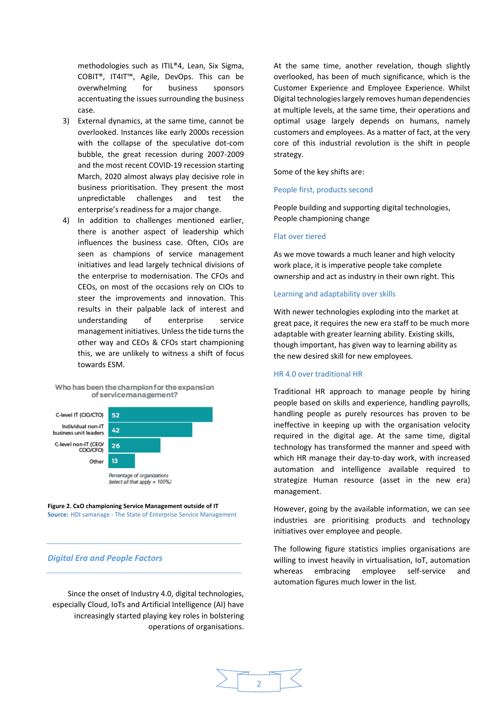methodologies such as ITIL®4, Lean, Six Sigma, COBIT®, IT4IT™, Agile, DevOps. This can be overwhelming for business sponsors accentuating the issues surrounding the business case.

- 3) External dynamics, at the same time, cannot be overlooked. Instances like early 2000s recession with the collapse of the speculative dot-com bubble, the great recession during 2007-2009 and the most recent COVID-19 recession starting March, 2020 almost always play decisive role in business prioritisation. They present the most unpredictable challenges and test the enterprise's readiness for a major change.
- 4) In addition to challenges mentioned earlier, there is another aspect of leadership which influences the business case. Often, CIOs are seen as champions of service management initiatives and lead largely technical divisions of the enterprise to modernisation. The CFOs and CEOs, on most of the occasions rely on CIOs to steer the improvements and innovation. This results in their palpable lack of interest and understanding of enterprise service management initiatives. Unless the tide turns the other way and CEOs & CFOs start championing this, we are unlikely to witness a shift of focus towards ESM.



Who has been the champion for the expansion

#### **Figure 2. CxO championing Service Management outside of IT Source:** HDI samanage - The State of Enterprise Service Management

## *Digital Era and People Factors*

Since the onset of Industry 4.0, digital technologies, especially Cloud, IoTs and Artificial Intelligence (AI) have increasingly started playing key roles in bolstering operations of organisations. At the same time, another revelation, though slightly overlooked, has been of much significance, which is the Customer Experience and Employee Experience. Whilst Digital technologies largely removes human dependencies at multiple levels, at the same time, their operations and optimal usage largely depends on humans, namely customers and employees. As a matter of fact, at the very core of this industrial revolution is the shift in people strategy.

Some of the key shifts are:

#### People first, products second

People building and supporting digital technologies, People championing change

## Flat over tiered

As we move towards a much leaner and high velocity work place, it is imperative people take complete ownership and act as industry in their own right. This

#### Learning and adaptability over skills

With newer technologies exploding into the market at great pace, it requires the new era staff to be much more adaptable with greater learning ability. Existing skills, though important, has given way to learning ability as the new desired skill for new employees.

#### HR 4.0 over traditional HR

Traditional HR approach to manage people by hiring people based on skills and experience, handling payrolls, handling people as purely resources has proven to be ineffective in keeping up with the organisation velocity required in the digital age. At the same time, digital technology has transformed the manner and speed with which HR manage their day-to-day work, with increased automation and intelligence available required to strategize Human resource (asset in the new era) management.

However, going by the available information, we can see industries are prioritising products and technology initiatives over employee and people.

The following figure statistics implies organisations are willing to invest heavily in virtualisation, IoT, automation whereas embracing employee self-service and automation figures much lower in the list.

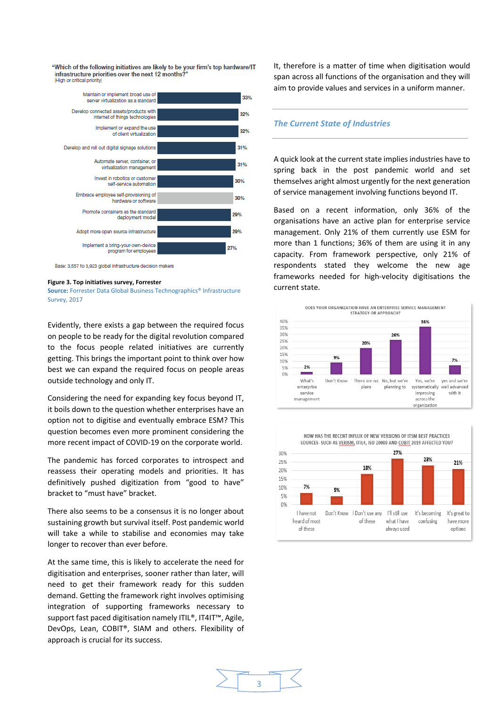"Which of the following initiatives are likely to be your firm's top hardware/IT infrastructure priorities over the next 12 months? (High or critical priority)



Base: 3,557 to 3,923 global infrastructure decision makers

#### **Figure 3. Top initiatives survey, Forrester**

**Source:** Forrester Data Global Business Technographics® Infrastructure Survey, 2017

Evidently, there exists a gap between the required focus on people to be ready for the digital revolution compared to the focus people related initiatives are currently getting. This brings the important point to think over how best we can expand the required focus on people areas outside technology and only IT.

Considering the need for expanding key focus beyond IT, it boils down to the question whether enterprises have an option not to digitise and eventually embrace ESM? This question becomes even more prominent considering the more recent impact of COVID-19 on the corporate world.

The pandemic has forced corporates to introspect and reassess their operating models and priorities. It has definitively pushed digitization from "good to have" bracket to "must have" bracket.

There also seems to be a consensus it is no longer about sustaining growth but survival itself. Post pandemic world will take a while to stabilise and economies may take longer to recover than ever before.

At the same time, this is likely to accelerate the need for digitisation and enterprises, sooner rather than later, will need to get their framework ready for this sudden demand. Getting the framework right involves optimising integration of supporting frameworks necessary to support fast paced digitisation namely ITIL®, IT4IT™, Agile, DevOps, Lean, COBIT®, SIAM and others. Flexibility of approach is crucial for its success.

It, therefore is a matter of time when digitisation would span across all functions of the organisation and they will aim to provide values and services in a uniform manner.

#### *The Current State of Industries*

A quick look at the current state implies industries have to spring back in the post pandemic world and set themselves aright almost urgently for the next generation of service management involving functions beyond IT.

Based on a recent information, only 36% of the organisations have an active plan for enterprise service management. Only 21% of them currently use ESM for more than 1 functions; 36% of them are using it in any capacity. From framework perspective, only 21% of respondents stated they welcome the new age frameworks needed for high-velocity digitisations the current state.



HOW HAS THE RECENT INFLUX OF NEW VERSIONS OF ITSM BEST PRACTICES



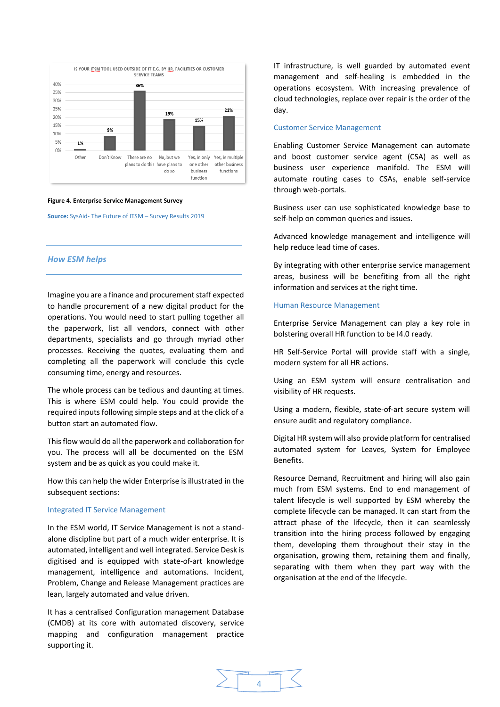

#### **Figure 4. Enterprise Service Management Survey**

**Source:** SysAid- The Future of ITSM – Survey Results 2019

## *How ESM helps*

Imagine you are a finance and procurement staff expected to handle procurement of a new digital product for the operations. You would need to start pulling together all the paperwork, list all vendors, connect with other departments, specialists and go through myriad other processes. Receiving the quotes, evaluating them and completing all the paperwork will conclude this cycle consuming time, energy and resources.

The whole process can be tedious and daunting at times. This is where ESM could help. You could provide the required inputs following simple steps and at the click of a button start an automated flow.

This flow would do all the paperwork and collaboration for you. The process will all be documented on the ESM system and be as quick as you could make it.

How this can help the wider Enterprise is illustrated in the subsequent sections:

#### Integrated IT Service Management

In the ESM world, IT Service Management is not a standalone discipline but part of a much wider enterprise. It is automated, intelligent and well integrated. Service Desk is digitised and is equipped with state-of-art knowledge management, intelligence and automations. Incident, Problem, Change and Release Management practices are lean, largely automated and value driven.

It has a centralised Configuration management Database (CMDB) at its core with automated discovery, service mapping and configuration management practice supporting it.

IT infrastructure, is well guarded by automated event management and self-healing is embedded in the operations ecosystem. With increasing prevalence of cloud technologies, replace over repair is the order of the day.

#### Customer Service Management

Enabling Customer Service Management can automate and boost customer service agent (CSA) as well as business user experience manifold. The ESM will automate routing cases to CSAs, enable self-service through web-portals.

Business user can use sophisticated knowledge base to self-help on common queries and issues.

Advanced knowledge management and intelligence will help reduce lead time of cases.

By integrating with other enterprise service management areas, business will be benefiting from all the right information and services at the right time.

#### Human Resource Management

Enterprise Service Management can play a key role in bolstering overall HR function to be I4.0 ready.

HR Self-Service Portal will provide staff with a single, modern system for all HR actions.

Using an ESM system will ensure centralisation and visibility of HR requests.

Using a modern, flexible, state-of-art secure system will ensure audit and regulatory compliance.

Digital HR system will also provide platform for centralised automated system for Leaves, System for Employee Benefits.

Resource Demand, Recruitment and hiring will also gain much from ESM systems. End to end management of talent lifecycle is well supported by ESM whereby the complete lifecycle can be managed. It can start from the attract phase of the lifecycle, then it can seamlessly transition into the hiring process followed by engaging them, developing them throughout their stay in the organisation, growing them, retaining them and finally, separating with them when they part way with the organisation at the end of the lifecycle.

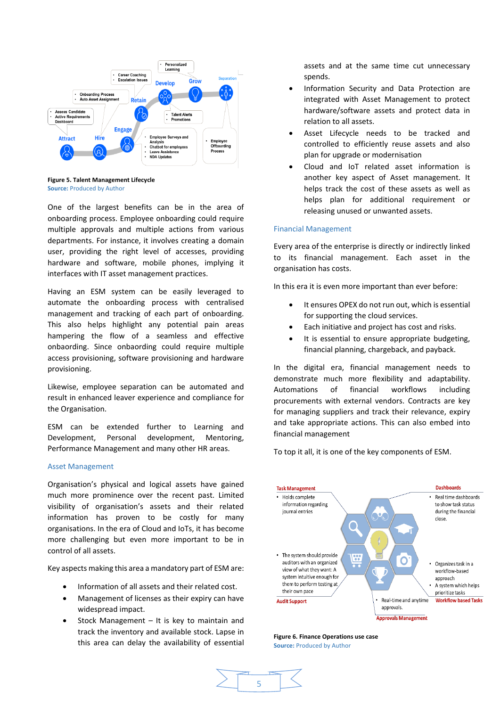

**Figure 5. Talent Management Lifecycle Source:** Produced by Author

One of the largest benefits can be in the area of onboarding process. Employee onboarding could require multiple approvals and multiple actions from various departments. For instance, it involves creating a domain user, providing the right level of accesses, providing hardware and software, mobile phones, implying it interfaces with IT asset management practices.

Having an ESM system can be easily leveraged to automate the onboarding process with centralised management and tracking of each part of onboarding. This also helps highlight any potential pain areas hampering the flow of a seamless and effective onbaording. Since onbaording could require multiple access provisioning, software provisioning and hardware provisioning.

Likewise, employee separation can be automated and result in enhanced leaver experience and compliance for the Organisation.

ESM can be extended further to Learning and Development, Personal development, Mentoring, Performance Management and many other HR areas.

## Asset Management

Organisation's physical and logical assets have gained much more prominence over the recent past. Limited visibility of organisation's assets and their related information has proven to be costly for many organisations. In the era of Cloud and IoTs, it has become more challenging but even more important to be in control of all assets.

Key aspects making this area a mandatory part of ESM are:

- Information of all assets and their related cost.
- Management of licenses as their expiry can have widespread impact.
- Stock Management It is key to maintain and track the inventory and available stock. Lapse in this area can delay the availability of essential

assets and at the same time cut unnecessary spends.

- Information Security and Data Protection are integrated with Asset Management to protect hardware/software assets and protect data in relation to all assets.
- Asset Lifecycle needs to be tracked and controlled to efficiently reuse assets and also plan for upgrade or modernisation
- Cloud and IoT related asset information is another key aspect of Asset management. It helps track the cost of these assets as well as helps plan for additional requirement or releasing unused or unwanted assets.

## Financial Management

Every area of the enterprise is directly or indirectly linked to its financial management. Each asset in the organisation has costs.

In this era it is even more important than ever before:

- It ensures OPEX do not run out, which is essential for supporting the cloud services.
- Each initiative and project has cost and risks.
- It is essential to ensure appropriate budgeting, financial planning, chargeback, and payback.

In the digital era, financial management needs to demonstrate much more flexibility and adaptability. Automations of financial workflows including procurements with external vendors. Contracts are key for managing suppliers and track their relevance, expiry and take appropriate actions. This can also embed into financial management

To top it all, it is one of the key components of ESM.



**Figure 6. Finance Operations use case Source:** Produced by Author

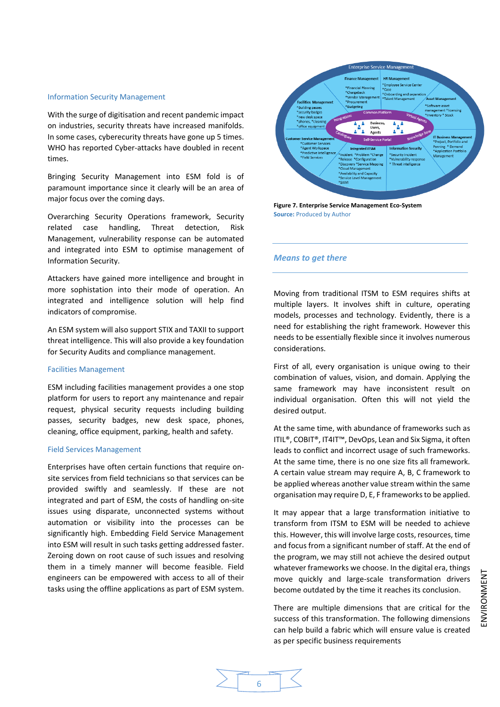#### Information Security Management

With the surge of digitisation and recent pandemic impact on industries, security threats have increased manifolds. In some cases, cyberecurity threats have gone up 5 times. WHO has reported Cyber-attacks have doubled in recent times.

Bringing Security Management into ESM fold is of paramount importance since it clearly will be an area of major focus over the coming days.

Overarching Security Operations framework, Security related case handling, Threat detection, Risk Management, vulnerability response can be automated and integrated into ESM to optimise management of Information Security.

Attackers have gained more intelligence and brought in more sophistation into their mode of operation. An integrated and intelligence solution will help find indicators of compromise.

An ESM system will also support STIX and TAXII to support threat intelligence. This will also provide a key foundation for Security Audits and compliance management.

#### Facilities Management

ESM including facilities management provides a one stop platform for users to report any maintenance and repair request, physical security requests including building passes, security badges, new desk space, phones, cleaning, office equipment, parking, health and safety.

#### Field Services Management

Enterprises have often certain functions that require onsite services from field technicians so that services can be provided swiftly and seamlessly. If these are not integrated and part of ESM, the costs of handling on-site issues using disparate, unconnected systems without automation or visibility into the processes can be significantly high. Embedding Field Service Management into ESM will result in such tasks getting addressed faster. Zeroing down on root cause of such issues and resolving them in a timely manner will become feasible. Field engineers can be empowered with access to all of their tasks using the offline applications as part of ESM system.



**Figure 7. Enterprise Service Management Eco-System Source:** Produced by Author

#### *Means to get there*

Moving from traditional ITSM to ESM requires shifts at multiple layers. It involves shift in culture, operating models, processes and technology. Evidently, there is a need for establishing the right framework. However this needs to be essentially flexible since it involves numerous considerations.

First of all, every organisation is unique owing to their combination of values, vision, and domain. Applying the same framework may have inconsistent result on individual organisation. Often this will not yield the desired output.

At the same time, with abundance of frameworks such as ITIL®, COBIT®, IT4IT™, DevOps, Lean and Six Sigma, it often leads to conflict and incorrect usage of such frameworks. At the same time, there is no one size fits all framework. A certain value stream may require A, B, C framework to be applied whereas another value stream within the same organisation may require D, E, F frameworks to be applied.

It may appear that a large transformation initiative to transform from ITSM to ESM will be needed to achieve this. However, this will involve large costs, resources, time and focus from a significant number of staff. At the end of the program, we may still not achieve the desired output whatever frameworks we choose. In the digital era, things move quickly and large-scale transformation drivers become outdated by the time it reaches its conclusion.

There are multiple dimensions that are critical for the success of this transformation. The following dimensions can help build a fabric which will ensure value is created as per specific business requirements

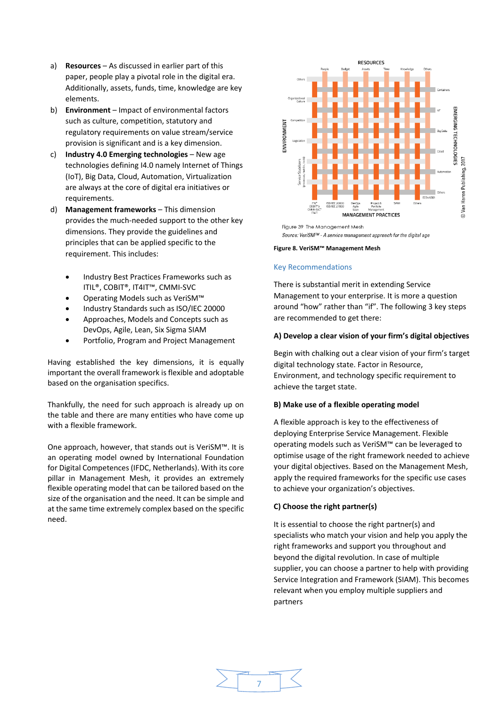- a) **Resources** As discussed in earlier part of this paper, people play a pivotal role in the digital era. Additionally, assets, funds, time, knowledge are key elements.
- b) **Environment** Impact of environmental factors such as culture, competition, statutory and regulatory requirements on value stream/service provision is significant and is a key dimension.
- c) **Industry 4.0 Emerging technologies** New age technologies defining I4.0 namely Internet of Things (IoT), Big Data, Cloud, Automation, Virtualization are always at the core of digital era initiatives or requirements.
- d) **Management frameworks** This dimension provides the much-needed support to the other key dimensions. They provide the guidelines and principles that can be applied specific to the requirement. This includes:
	- Industry Best Practices Frameworks such as ITIL®, COBIT®, IT4IT™, CMMI-SVC
	- Operating Models such as VeriSM™
	- Industry Standards such as ISO/IEC 20000
	- Approaches, Models and Concepts such as DevOps, Agile, Lean, Six Sigma SIAM
	- Portfolio, Program and Project Management

Having established the key dimensions, it is equally important the overall framework is flexible and adoptable based on the organisation specifics.

Thankfully, the need for such approach is already up on the table and there are many entities who have come up with a flexible framework.

One approach, however, that stands out is VeriSM™. It is an operating model owned by International Foundation for Digital Competences (IFDC, Netherlands). With its core pillar in Management Mesh, it provides an extremely flexible operating model that can be tailored based on the size of the organisation and the need. It can be simple and at the same time extremely complex based on the specific need.



Figure 39 The Management Mesh Source: VeriSM™ - A service management approach for the digital age

**Figure 8. VeriSM™ Management Mesh**

#### Key Recommendations

There is substantial merit in extending Service Management to your enterprise. It is more a question around "how" rather than "if". The following 3 key steps are recommended to get there:

## **A) Develop a clear vision of your firm's digital objectives**

Begin with chalking out a clear vision of your firm's target digital technology state. Factor in Resource, Environment, and technology specific requirement to achieve the target state.

#### **B) Make use of a flexible operating model**

A flexible approach is key to the effectiveness of deploying Enterprise Service Management. Flexible operating models such as VeriSM™ can be leveraged to optimise usage of the right framework needed to achieve your digital objectives. Based on the Management Mesh, apply the required frameworks for the specific use cases to achieve your organization's objectives.

#### **C) Choose the right partner(s)**

It is essential to choose the right partner(s) and specialists who match your vision and help you apply the right frameworks and support you throughout and beyond the digital revolution. In case of multiple supplier, you can choose a partner to help with providing Service Integration and Framework (SIAM). This becomes relevant when you employ multiple suppliers and partners